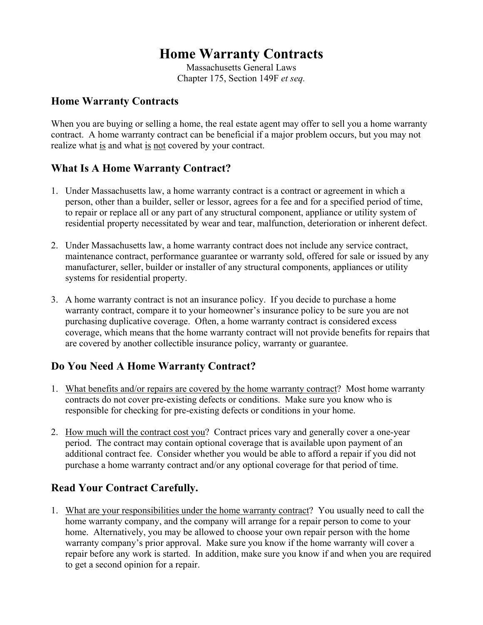# **Home Warranty Contracts**

Massachusetts General Laws Chapter 175, Section 149F *et seq.*

#### **Home Warranty Contracts**

When you are buying or selling a home, the real estate agent may offer to sell you a home warranty contract. A home warranty contract can be beneficial if a major problem occurs, but you may not realize what is and what is not covered by your contract.

### **What Is A Home Warranty Contract?**

- 1. Under Massachusetts law, a home warranty contract is a contract or agreement in which a person, other than a builder, seller or lessor, agrees for a fee and for a specified period of time, to repair or replace all or any part of any structural component, appliance or utility system of residential property necessitated by wear and tear, malfunction, deterioration or inherent defect.
- 2. Under Massachusetts law, a home warranty contract does not include any service contract, maintenance contract, performance guarantee or warranty sold, offered for sale or issued by any manufacturer, seller, builder or installer of any structural components, appliances or utility systems for residential property.
- 3. A home warranty contract is not an insurance policy. If you decide to purchase a home warranty contract, compare it to your homeowner's insurance policy to be sure you are not purchasing duplicative coverage. Often, a home warranty contract is considered excess coverage, which means that the home warranty contract will not provide benefits for repairs that are covered by another collectible insurance policy, warranty or guarantee.

#### **Do You Need A Home Warranty Contract?**

- 1. What benefits and/or repairs are covered by the home warranty contract? Most home warranty contracts do not cover pre-existing defects or conditions. Make sure you know who is responsible for checking for pre-existing defects or conditions in your home.
- 2. How much will the contract cost you? Contract prices vary and generally cover a one-year period. The contract may contain optional coverage that is available upon payment of an additional contract fee. Consider whether you would be able to afford a repair if you did not purchase a home warranty contract and/or any optional coverage for that period of time.

## **Read Your Contract Carefully.**

1. What are your responsibilities under the home warranty contract? You usually need to call the home warranty company, and the company will arrange for a repair person to come to your home. Alternatively, you may be allowed to choose your own repair person with the home warranty company's prior approval. Make sure you know if the home warranty will cover a repair before any work is started. In addition, make sure you know if and when you are required to get a second opinion for a repair.